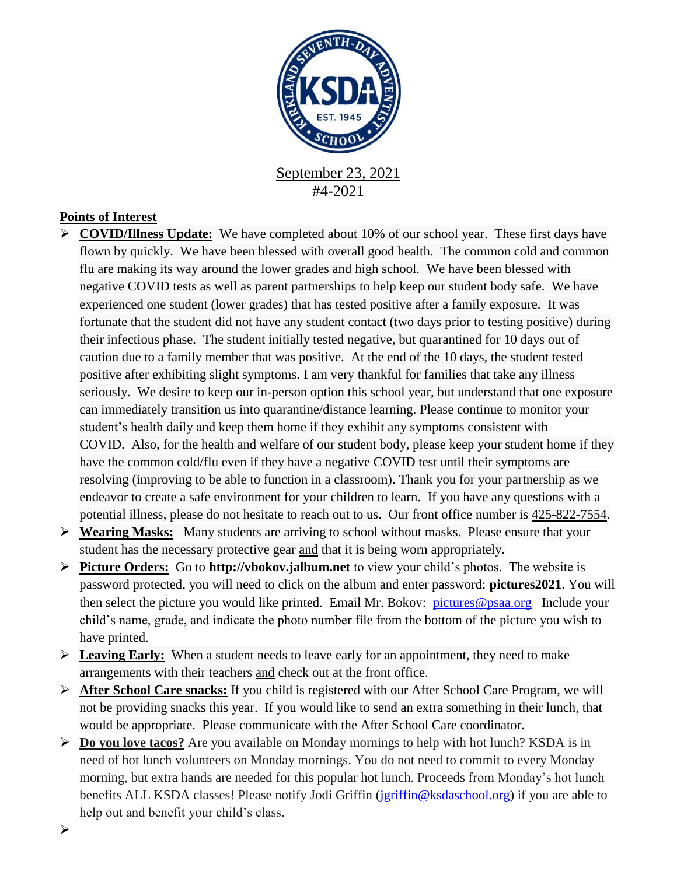

#4-2021

## **Points of Interest**

- **COVID/Illness Update:** We have completed about 10% of our school year. These first days have flown by quickly. We have been blessed with overall good health. The common cold and common flu are making its way around the lower grades and high school. We have been blessed with negative COVID tests as well as parent partnerships to help keep our student body safe. We have experienced one student (lower grades) that has tested positive after a family exposure. It was fortunate that the student did not have any student contact (two days prior to testing positive) during their infectious phase. The student initially tested negative, but quarantined for 10 days out of caution due to a family member that was positive. At the end of the 10 days, the student tested positive after exhibiting slight symptoms. I am very thankful for families that take any illness seriously. We desire to keep our in-person option this school year, but understand that one exposure can immediately transition us into quarantine/distance learning. Please continue to monitor your student's health daily and keep them home if they exhibit any symptoms consistent with COVID. Also, for the health and welfare of our student body, please keep your student home if they have the common cold/flu even if they have a negative COVID test until their symptoms are resolving (improving to be able to function in a classroom). Thank you for your partnership as we endeavor to create a safe environment for your children to learn. If you have any questions with a potential illness, please do not hesitate to reach out to us. Our front office number is [425-822-7554.](tel:425-822-7554)
- **Wearing Masks:** Many students are arriving to school without masks. Please ensure that your student has the necessary protective gear and that it is being worn appropriately.
- **Picture Orders:** Go to **http://vbokov.jalbum.net** to view your child's photos. The website is password protected, you will need to click on the album and enter password: **pictures2021**. You will then select the picture you would like printed. Email Mr. Bokov: [pictures@psaa.org](mailto:vbokov@psaa.org) Include your child's name, grade, and indicate the photo number file from the bottom of the picture you wish to have printed.
- **Leaving Early:** When a student needs to leave early for an appointment, they need to make arrangements with their teachers and check out at the front office.
- **After School Care snacks:** If you child is registered with our After School Care Program, we will not be providing snacks this year. If you would like to send an extra something in their lunch, that would be appropriate. Please communicate with the After School Care coordinator.
- **Do you love tacos?** Are you available on Monday mornings to help with hot lunch? KSDA is in need of hot lunch volunteers on Monday mornings. You do not need to commit to every Monday morning, but extra hands are needed for this popular hot lunch. Proceeds from Monday's hot lunch benefits ALL KSDA classes! Please notify Jodi Griffin [\(jgriffin@ksdaschool.org\)](mailto:jgriffin@ksdaschool.org) if you are able to help out and benefit your child's class.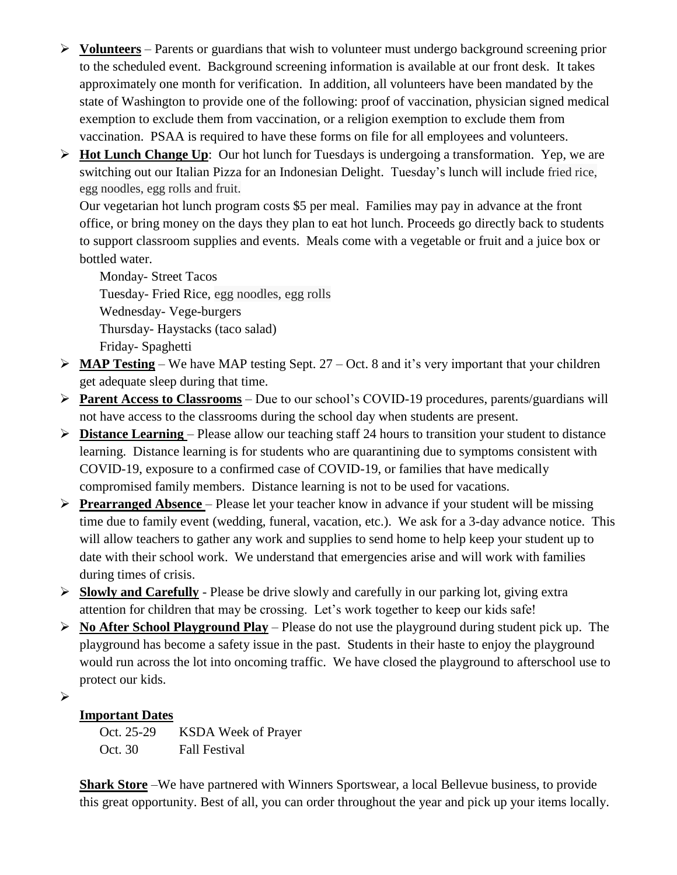- **Volunteers** Parents or guardians that wish to volunteer must undergo background screening prior to the scheduled event. Background screening information is available at our front desk. It takes approximately one month for verification. In addition, all volunteers have been mandated by the state of Washington to provide one of the following: proof of vaccination, physician signed medical exemption to exclude them from vaccination, or a religion exemption to exclude them from vaccination. PSAA is required to have these forms on file for all employees and volunteers.
- **Hot Lunch Change Up**: Our hot lunch for Tuesdays is undergoing a transformation. Yep, we are switching out our Italian Pizza for an Indonesian Delight. Tuesday's lunch will include fried rice, egg noodles, egg rolls and fruit.

Our vegetarian hot lunch program costs \$5 per meal. Families may pay in advance at the front office, or bring money on the days they plan to eat hot lunch. Proceeds go directly back to students to support classroom supplies and events. Meals come with a vegetable or fruit and a juice box or bottled water.

Monday- Street Tacos Tuesday- Fried Rice, egg noodles, egg rolls Wednesday- Vege-burgers Thursday- Haystacks (taco salad) Friday- Spaghetti

- $\triangleright$  **MAP Testing** We have MAP testing Sept. 27 Oct. 8 and it's very important that your children get adequate sleep during that time.
- **Parent Access to Classrooms** Due to our school's COVID-19 procedures, parents/guardians will not have access to the classrooms during the school day when students are present.
- **Distance Learning**  Please allow our teaching staff 24 hours to transition your student to distance learning. Distance learning is for students who are quarantining due to symptoms consistent with COVID-19, exposure to a confirmed case of COVID-19, or families that have medically compromised family members. Distance learning is not to be used for vacations.
- **Prearranged Absence**  Please let your teacher know in advance if your student will be missing time due to family event (wedding, funeral, vacation, etc.). We ask for a 3-day advance notice. This will allow teachers to gather any work and supplies to send home to help keep your student up to date with their school work. We understand that emergencies arise and will work with families during times of crisis.
- **Slowly and Carefully** Please be drive slowly and carefully in our parking lot, giving extra attention for children that may be crossing. Let's work together to keep our kids safe!
- **No After School Playground Play** Please do not use the playground during student pick up. The playground has become a safety issue in the past. Students in their haste to enjoy the playground would run across the lot into oncoming traffic. We have closed the playground to afterschool use to protect our kids.

 $\blacktriangleright$ 

## **Important Dates**

Oct. 25-29 KSDA Week of Prayer Oct. 30 Fall Festival

**Shark Store** –We have partnered with Winners Sportswear, a local Bellevue business, to provide this great opportunity. Best of all, you can order throughout the year and pick up your items locally.